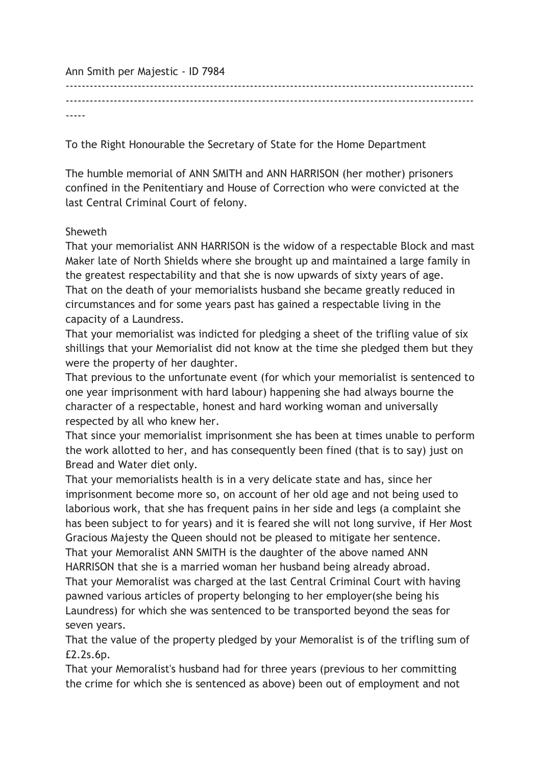Ann Smith per Majestic - ID 7984 ------------------------------------------------------------------------------------------------------ ------------------------------------------------------------------------------------------------------ -----

To the Right Honourable the Secretary of State for the Home Department

The humble memorial of ANN SMITH and ANN HARRISON (her mother) prisoners confined in the Penitentiary and House of Correction who were convicted at the last Central Criminal Court of felony.

## Sheweth

That your memorialist ANN HARRISON is the widow of a respectable Block and mast Maker late of North Shields where she brought up and maintained a large family in the greatest respectability and that she is now upwards of sixty years of age. That on the death of your memorialists husband she became greatly reduced in circumstances and for some years past has gained a respectable living in the capacity of a Laundress.

That your memorialist was indicted for pledging a sheet of the trifling value of six shillings that your Memorialist did not know at the time she pledged them but they were the property of her daughter.

That previous to the unfortunate event (for which your memorialist is sentenced to one year imprisonment with hard labour) happening she had always bourne the character of a respectable, honest and hard working woman and universally respected by all who knew her.

That since your memorialist imprisonment she has been at times unable to perform the work allotted to her, and has consequently been fined (that is to say) just on Bread and Water diet only.

That your memorialists health is in a very delicate state and has, since her imprisonment become more so, on account of her old age and not being used to laborious work, that she has frequent pains in her side and legs (a complaint she has been subject to for years) and it is feared she will not long survive, if Her Most Gracious Majesty the Queen should not be pleased to mitigate her sentence. That your Memoralist ANN SMITH is the daughter of the above named ANN HARRISON that she is a married woman her husband being already abroad. That your Memoralist was charged at the last Central Criminal Court with having pawned various articles of property belonging to her employer(she being his Laundress) for which she was sentenced to be transported beyond the seas for seven years.

That the value of the property pledged by your Memoralist is of the trifling sum of £2.2s.6p.

That your Memoralist's husband had for three years (previous to her committing the crime for which she is sentenced as above) been out of employment and not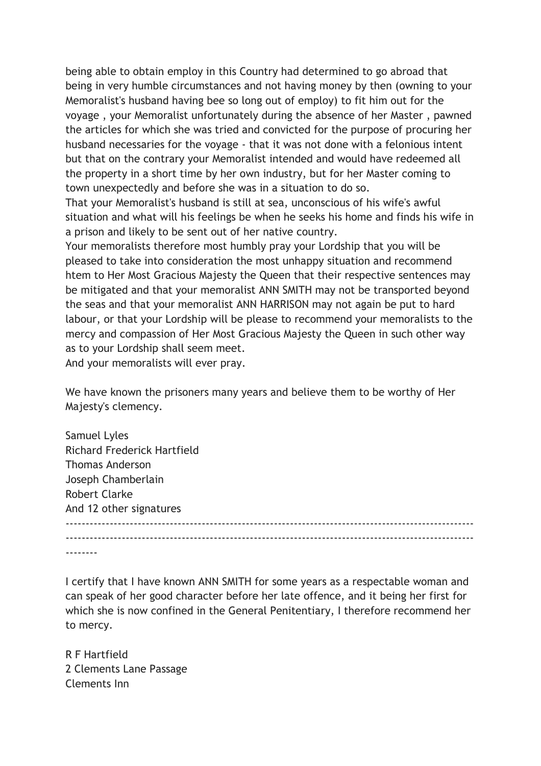being able to obtain employ in this Country had determined to go abroad that being in very humble circumstances and not having money by then (owning to your Memoralist's husband having bee so long out of employ) to fit him out for the voyage , your Memoralist unfortunately during the absence of her Master , pawned the articles for which she was tried and convicted for the purpose of procuring her husband necessaries for the voyage - that it was not done with a felonious intent but that on the contrary your Memoralist intended and would have redeemed all the property in a short time by her own industry, but for her Master coming to town unexpectedly and before she was in a situation to do so.

That your Memoralist's husband is still at sea, unconscious of his wife's awful situation and what will his feelings be when he seeks his home and finds his wife in a prison and likely to be sent out of her native country.

Your memoralists therefore most humbly pray your Lordship that you will be pleased to take into consideration the most unhappy situation and recommend htem to Her Most Gracious Majesty the Queen that their respective sentences may be mitigated and that your memoralist ANN SMITH may not be transported beyond the seas and that your memoralist ANN HARRISON may not again be put to hard labour, or that your Lordship will be please to recommend your memoralists to the mercy and compassion of Her Most Gracious Majesty the Queen in such other way as to your Lordship shall seem meet.

And your memoralists will ever pray.

We have known the prisoners many years and believe them to be worthy of Her Majesty's clemency.

| <b>Samuel Lyles</b>                |  |  |
|------------------------------------|--|--|
| <b>Richard Frederick Hartfield</b> |  |  |
| <b>Thomas Anderson</b>             |  |  |
| Joseph Chamberlain                 |  |  |
| <b>Robert Clarke</b>               |  |  |
| And 12 other signatures            |  |  |
|                                    |  |  |
|                                    |  |  |
|                                    |  |  |

I certify that I have known ANN SMITH for some years as a respectable woman and can speak of her good character before her late offence, and it being her first for which she is now confined in the General Penitentiary, I therefore recommend her to mercy.

R F Hartfield 2 Clements Lane Passage Clements Inn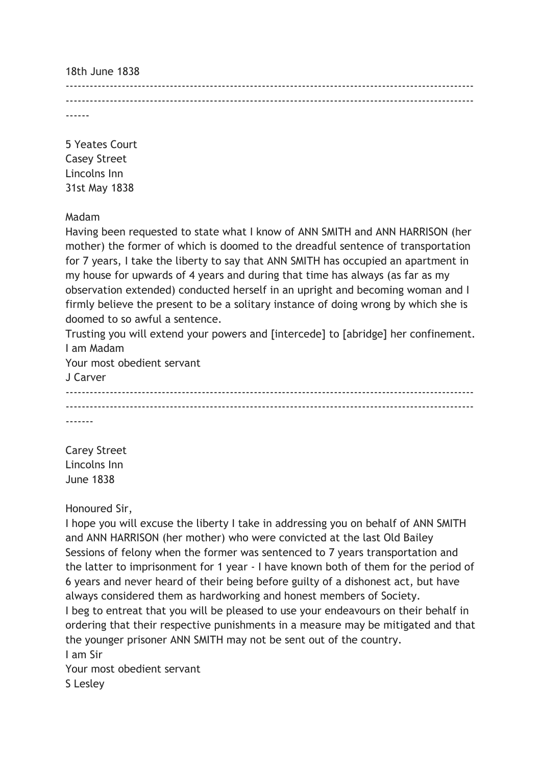18th June 1838

------------------------------------------------------------------------------------------------------ ------------------------------------------------------------------------------------------------------ ------

5 Yeates Court Casey Street Lincolns Inn 31st May 1838

Madam

Having been requested to state what I know of ANN SMITH and ANN HARRISON (her mother) the former of which is doomed to the dreadful sentence of transportation for 7 years, I take the liberty to say that ANN SMITH has occupied an apartment in my house for upwards of 4 years and during that time has always (as far as my observation extended) conducted herself in an upright and becoming woman and I firmly believe the present to be a solitary instance of doing wrong by which she is doomed to so awful a sentence.

Trusting you will extend your powers and [intercede] to [abridge] her confinement. I am Madam

Your most obedient servant

J Carver ------------------------------------------------------------------------------------------------------ ------------------------------------------------------------------------------------------------------ -------

Carey Street Lincolns Inn June 1838

Honoured Sir,

I hope you will excuse the liberty I take in addressing you on behalf of ANN SMITH and ANN HARRISON (her mother) who were convicted at the last Old Bailey Sessions of felony when the former was sentenced to 7 years transportation and the latter to imprisonment for 1 year - I have known both of them for the period of 6 years and never heard of their being before guilty of a dishonest act, but have always considered them as hardworking and honest members of Society. I beg to entreat that you will be pleased to use your endeavours on their behalf in ordering that their respective punishments in a measure may be mitigated and that the younger prisoner ANN SMITH may not be sent out of the country. I am Sir Your most obedient servant

S Lesley